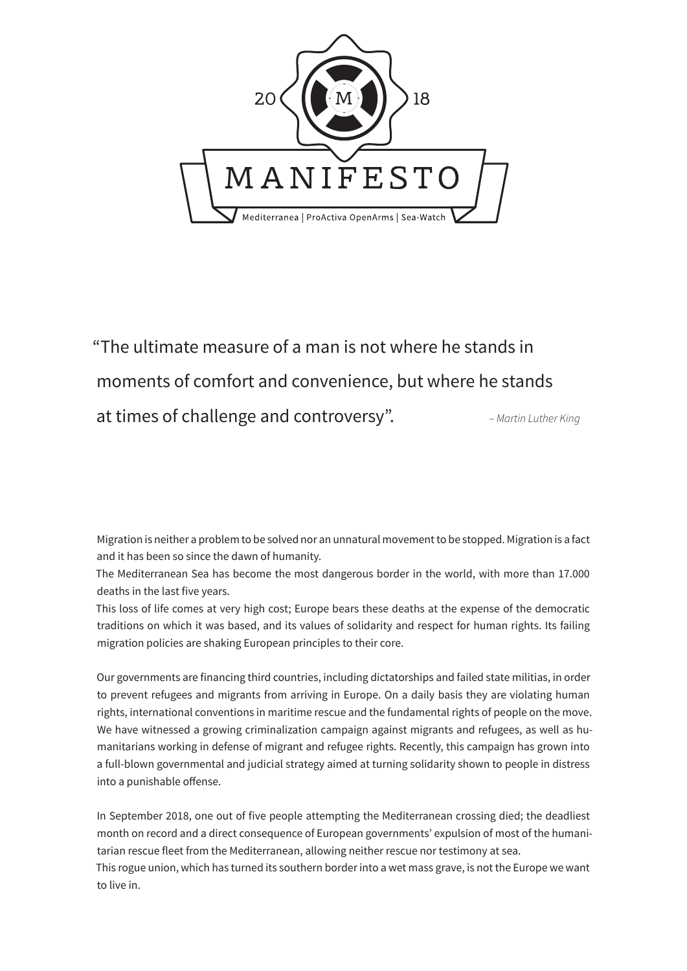

"The ultimate measure of a man is not where he stands in moments of comfort and convenience, but where he stands at times of challenge and controversy". *– Martin Luther King*

Migration is neither a problem to be solved nor an unnatural movement to be stopped. Migration is a fact and it has been so since the dawn of humanity.

The Mediterranean Sea has become the most dangerous border in the world, with more than 17.000 deaths in the last five years.

This loss of life comes at very high cost; Europe bears these deaths at the expense of the democratic traditions on which it was based, and its values of solidarity and respect for human rights. Its failing migration policies are shaking European principles to their core.

Our governments are financing third countries, including dictatorships and failed state militias, in order to prevent refugees and migrants from arriving in Europe. On a daily basis they are violating human rights, international conventions in maritime rescue and the fundamental rights of people on the move. We have witnessed a growing criminalization campaign against migrants and refugees, as well as humanitarians working in defense of migrant and refugee rights. Recently, this campaign has grown into a full-blown governmental and judicial strategy aimed at turning solidarity shown to people in distress into a punishable offense.

In September 2018, one out of five people attempting the Mediterranean crossing died; the deadliest month on record and a direct consequence of European governments' expulsion of most of the humanitarian rescue fleet from the Mediterranean, allowing neither rescue nor testimony at sea.

This rogue union, which has turned its southern border into a wet mass grave, is not the Europe we want to live in.